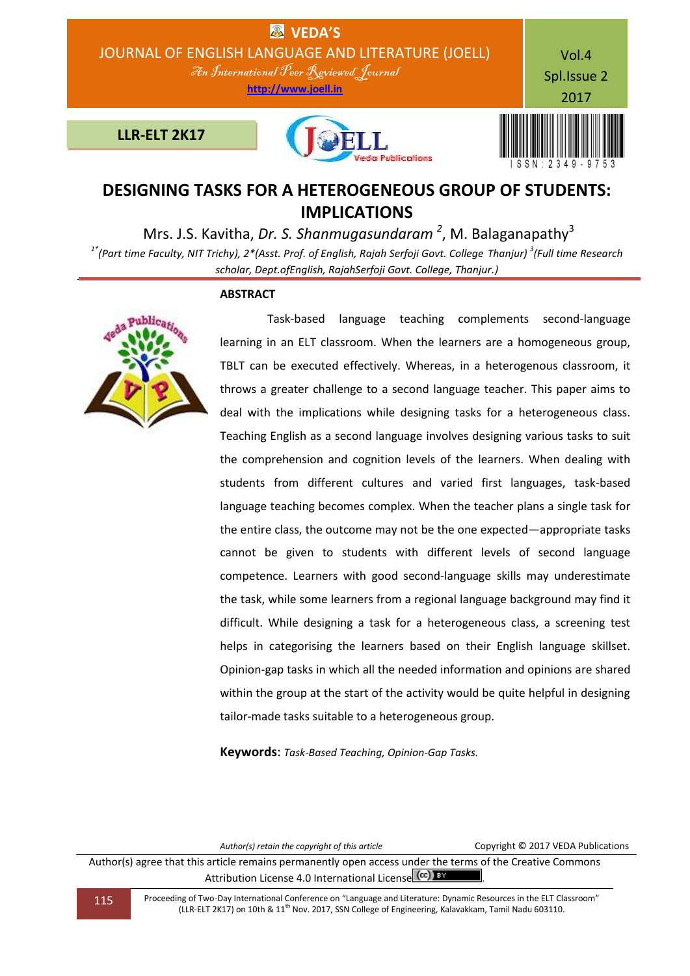

# **DESIGNING TASKS FOR A HETEROGENEOUS GROUP OF STUDENTS: IMPLICATIONS**

Mrs. J.S. Kavitha, *Dr. S. Shanmugasundaram* <sup>2</sup>, M. Balaganapathy<sup>3</sup>

*1\*(Part time Faculty, NIT Trichy), 2\*(Asst. Prof. of English, Rajah Serfoji Govt. College Thanjur) 3 (Full time Research scholar, Dept.ofEnglish, RajahSerfoji Govt. College, Thanjur.)*

## **ABSTRACT**



 Task-based language teaching complements second-language learning in an ELT classroom. When the learners are a homogeneous group, TBLT can be executed effectively. Whereas, in a heterogenous classroom, it throws a greater challenge to a second language teacher. This paper aims to deal with the implications while designing tasks for a heterogeneous class. Teaching English as a second language involves designing various tasks to suit the comprehension and cognition levels of the learners. When dealing with students from different cultures and varied first languages, task-based language teaching becomes complex. When the teacher plans a single task for the entire class, the outcome may not be the one expected—appropriate tasks cannot be given to students with different levels of second language competence. Learners with good second-language skills may underestimate the task, while some learners from a regional language background may find it difficult. While designing a task for a heterogeneous class, a screening test helps in categorising the learners based on their English language skillset. Opinion-gap tasks in which all the needed information and opinions are shared within the group at the start of the activity would be quite helpful in designing tailor-made tasks suitable to a heterogeneous group.

**Keywords**: *Task-Based Teaching, Opinion-Gap Tasks.*

*Author(s) retain the copyright of this article* Copyright © 2017 VEDA Publications

Author(s) agree that this article remains permanently open access under the terms of the Creative Commons Attribution License 4.0 International License (cc) BY

115 Proceeding of Two-Day International Conference on "Language and Literature: Dynamic Resources in the ELT Classroom" (LLR-ELT 2K17) on 10th & 11th Nov. 2017, SSN College of Engineering, Kalavakkam, Tamil Nadu 603110.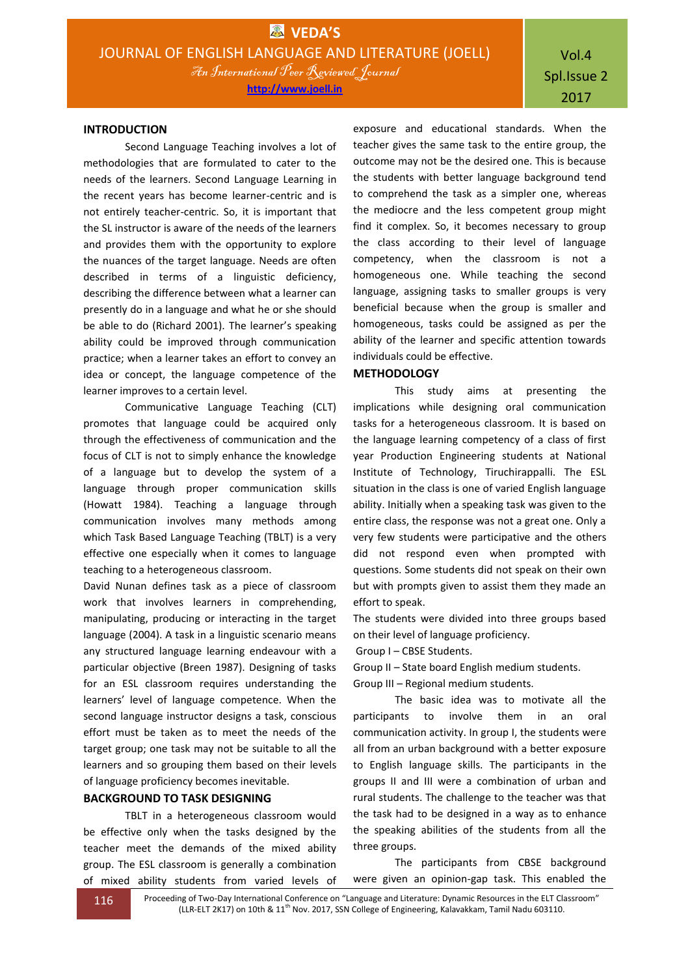## Vol.4 Spl.Issue 2 2017

#### **INTRODUCTION**

Second Language Teaching involves a lot of methodologies that are formulated to cater to the needs of the learners. Second Language Learning in the recent years has become learner-centric and is not entirely teacher-centric. So, it is important that the SL instructor is aware of the needs of the learners and provides them with the opportunity to explore the nuances of the target language. Needs are often described in terms of a linguistic deficiency, describing the difference between what a learner can presently do in a language and what he or she should be able to do (Richard 2001). The learner's speaking ability could be improved through communication practice; when a learner takes an effort to convey an idea or concept, the language competence of the learner improves to a certain level.

Communicative Language Teaching (CLT) promotes that language could be acquired only through the effectiveness of communication and the focus of CLT is not to simply enhance the knowledge of a language but to develop the system of a language through proper communication skills (Howatt 1984). Teaching a language through communication involves many methods among which Task Based Language Teaching (TBLT) is a very effective one especially when it comes to language teaching to a heterogeneous classroom.

David Nunan defines task as a piece of classroom work that involves learners in comprehending, manipulating, producing or interacting in the target language (2004). A task in a linguistic scenario means any structured language learning endeavour with a particular objective (Breen 1987). Designing of tasks for an ESL classroom requires understanding the learners' level of language competence. When the second language instructor designs a task, conscious effort must be taken as to meet the needs of the target group; one task may not be suitable to all the learners and so grouping them based on their levels of language proficiency becomes inevitable.

## **BACKGROUND TO TASK DESIGNING**

TBLT in a heterogeneous classroom would be effective only when the tasks designed by the teacher meet the demands of the mixed ability group. The ESL classroom is generally a combination of mixed ability students from varied levels of

exposure and educational standards. When the teacher gives the same task to the entire group, the outcome may not be the desired one. This is because the students with better language background tend to comprehend the task as a simpler one, whereas the mediocre and the less competent group might find it complex. So, it becomes necessary to group the class according to their level of language competency, when the classroom is not a homogeneous one. While teaching the second language, assigning tasks to smaller groups is very beneficial because when the group is smaller and homogeneous, tasks could be assigned as per the ability of the learner and specific attention towards individuals could be effective.

## **METHODOLOGY**

This study aims at presenting the implications while designing oral communication tasks for a heterogeneous classroom. It is based on the language learning competency of a class of first year Production Engineering students at National Institute of Technology, Tiruchirappalli. The ESL situation in the class is one of varied English language ability. Initially when a speaking task was given to the entire class, the response was not a great one. Only a very few students were participative and the others did not respond even when prompted with questions. Some students did not speak on their own but with prompts given to assist them they made an effort to speak.

The students were divided into three groups based on their level of language proficiency.

Group I – CBSE Students.

Group II – State board English medium students.

Group III – Regional medium students.

The basic idea was to motivate all the participants to involve them in an oral communication activity. In group I, the students were all from an urban background with a better exposure to English language skills. The participants in the groups II and III were a combination of urban and rural students. The challenge to the teacher was that the task had to be designed in a way as to enhance the speaking abilities of the students from all the three groups.

The participants from CBSE background were given an opinion-gap task. This enabled the

116 Proceeding of Two-Day International Conference on "Language and Literature: Dynamic Resources in the ELT Classroom" (LLR-ELT 2K17) on 10th & 11<sup>th</sup> Nov. 2017, SSN College of Engineering, Kalavakkam, Tamil Nadu 603110.